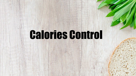# Calories Control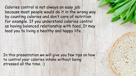Calories control is not always an easy job because most people would do it in the wrong way by counting calories and don't care of nutrition for example. If you understand calories control as having balanced relationship with food, It may lead you to living a healthy and happy life.

In this presentation we will give you few tips on how to control your calories intake without being stressed all the time. :)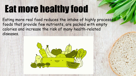# Eat more healthy food

Eating more real food reduces the intake of highly processed foods that provide few nutrients, are packed with empty calories and increase the risk of many health-related diseases.

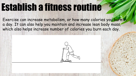### Establish a fitness routine

Exercise can increase metabolism, or how many calories you burn in a day. It can also help you maintain and increase lean body mass, which also helps increase number of calories you burn each day.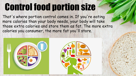#### Control food portion size

That's where portion control comes in. If you're eating more calories than your body needs, your body will take those extra calories and store them as fat. The more extra calories you consumer, the more fat you'll store.



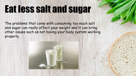## Eat less salt and sugar

The problems that come with consuming too much salt and sugar can really affect your weight and it can bring other issues such as not having your body system working properly.

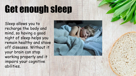## Get enough sleep

Sleep allows you to recharge the body and mind, so having a good night of sleep helps you remain healthy and stave off diseases. Without it your brain can stop working properly and it impairs your cognitive abilities.

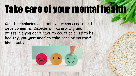# Take care of your mental health

Counting calories as a behaviour can create and develop mental disorders, like anxiety and stress. So you don't have to count calories to be healthy, you just need to take care of yourself like a baby.

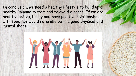In conclusion, we need a healthy lifestyle to build up a healthy immune system and to avoid disease. If we are healthy, active, happy and have positive relationship with food, we would naturally be in a good physical and mental shape.